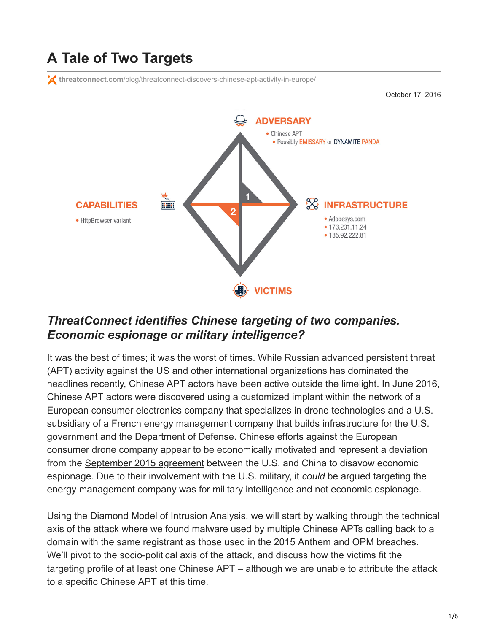# **A Tale of Two Targets**

**threatconnect.com**[/blog/threatconnect-discovers-chinese-apt-activity-in-europe/](https://www.threatconnect.com/blog/threatconnect-discovers-chinese-apt-activity-in-europe/)

October 17, 2016



#### *ThreatConnect identifies Chinese targeting of two companies. Economic espionage or military intelligence?*

It was the best of times; it was the worst of times. While Russian advanced persistent threat (APT) activity [against the US and other international organizations](https://threatconnect.com/guccifer-2-0-dnc-hack-fancy-bears/?utm_campaign=DNC%20Guccifer%202.0%20Fancy%20Bears%20Research&utm_medium=social&utm_source=twitter) has dominated the headlines recently, Chinese APT actors have been active outside the limelight. In June 2016, Chinese APT actors were discovered using a customized implant within the network of a European consumer electronics company that specializes in drone technologies and a U.S. subsidiary of a French energy management company that builds infrastructure for the U.S. government and the Department of Defense. Chinese efforts against the European consumer drone company appear to be economically motivated and represent a deviation from the [September 2015 agreement](https://www.washingtonpost.com/national/us-china-vow-not-to-engage-in-economic-cyberespionage/2015/09/25/90e74b6a-63b9-11e5-8e9e-dce8a2a2a679_story.html) between the U.S. and China to disavow economic espionage. Due to their involvement with the U.S. military, it *could* be argued targeting the energy management company was for military intelligence and not economic espionage.

Using the [Diamond Model of Intrusion Analysis,](https://threatconnect.com/blog/diamond-model-threat-intelligence-star-wars/) we will start by walking through the technical axis of the attack where we found malware used by multiple Chinese APTs calling back to a domain with the same registrant as those used in the 2015 Anthem and OPM breaches. We'll pivot to the socio-political axis of the attack, and discuss how the victims fit the targeting profile of at least one Chinese APT – although we are unable to attribute the attack to a specific Chinese APT at this time.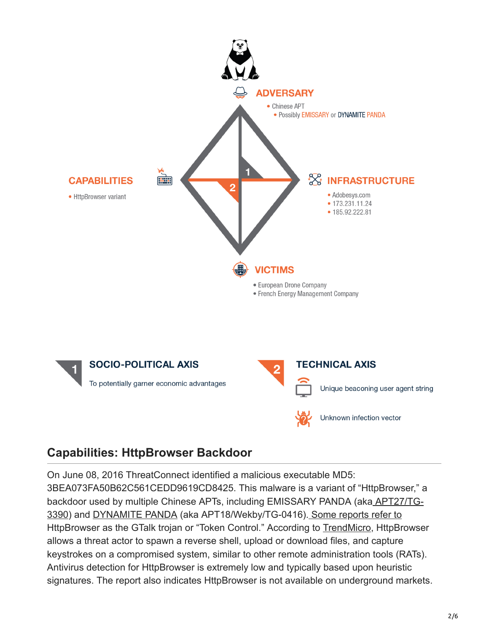

#### **Capabilities: HttpBrowser Backdoor**

On June 08, 2016 ThreatConnect identified a malicious executable MD5: 3BEA073FA50B62C561CEDD9619CD8425. This malware is a variant of "HttpBrowser," a [backdoor used by multiple Chinese APTs, including EMISSARY PANDA \(aka APT27/TG-](https://www.secureworks.com/research/threat-group-3390-targets-organizations-for-cyberespionage)3390) and [DYNAMITE PANDA](http://researchcenter.paloaltonetworks.com/2016/05/unit42-new-wekby-attacks-use-dns-requests-as-command-and-control-mechanism/) (aka APT18/Wekby/TG-0416). [Some reports refer to](https://www.erai.com/CustomUploads/ca/wp/2015_12_wp_operation_iron_tiger.pdf) HttpBrowser as the GTalk trojan or "Token Control." According to [TrendMicro,](https://www.erai.com/CustomUploads/ca/wp/2015_12_wp_operation_iron_tiger.pdf) HttpBrowser allows a threat actor to spawn a reverse shell, upload or download files, and capture keystrokes on a compromised system, similar to other remote administration tools (RATs). Antivirus detection for HttpBrowser is extremely low and typically based upon heuristic signatures. The report also indicates HttpBrowser is not available on underground markets.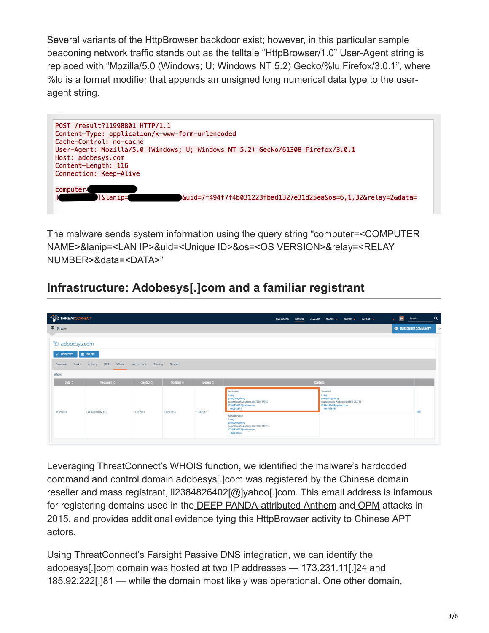Several variants of the HttpBrowser backdoor exist; however, in this particular sample beaconing network traffic stands out as the telltale "HttpBrowser/1.0" User-Agent string is replaced with "Mozilla/5.0 (Windows; U; Windows NT 5.2) Gecko/%lu Firefox/3.0.1", where %lu is a format modifier that appends an unsigned long numerical data type to the useragent string.



The malware sends system information using the query string "computer=<COMPUTER NAME>&lanip=<LAN IP>&uid=<Unique ID>&os=<OS VERSION>&relay=<RELAY NUMBER>&data=<DATA>"

### **Infrastructure: Adobesys[.]com and a familiar registrant**

| THREATCONECT                                           |                          |                         |                    |            | DASHBOARD<br><b>BROWSE</b>                                                                              | IMPORT V<br>SPACES v<br><b>CREATE V</b><br><b>ANALYZE</b>                                               | $\mathbb{R}$<br>Search<br>$\mathbf{v}$ | $\alpha$     |
|--------------------------------------------------------|--------------------------|-------------------------|--------------------|------------|---------------------------------------------------------------------------------------------------------|---------------------------------------------------------------------------------------------------------|----------------------------------------|--------------|
| Director                                               |                          |                         |                    |            |                                                                                                         |                                                                                                         | <b>1824 SUBSCRIBER COMMUNITY</b>       | $\checkmark$ |
| <b>Example and adobesys.com</b><br><b>EP NEW PIVOT</b> | <b>ED DELETE</b>         |                         |                    |            |                                                                                                         |                                                                                                         |                                        |              |
| Tasks<br>Overview                                      | DNS<br>Whois<br>Activity | Sharing<br>Associations | Spaces             |            |                                                                                                         |                                                                                                         |                                        |              |
| Whois                                                  |                          |                         |                    |            |                                                                                                         |                                                                                                         |                                        |              |
| Date $\Diamond$                                        | Registrant O             | Created O               | Updated $\Diamond$ | Expires O  |                                                                                                         | Contacts                                                                                                |                                        |              |
| 05-09-2016                                             | GODADDY.COM, LLC         | 11-03-2013              | 10-23-2014         | 11-03-2017 | Registrant:                                                                                             | Technical:                                                                                              |                                        |              |
|                                                        |                          |                         |                    |            | li ning<br>guangdongsheng<br>guangzhoushi Alabama UNITED STATES<br>li2384826402@yahoo.com<br>4805428751 | li ning<br>guangdongsheng<br>guangzhoushi Alabama UNITED STATES<br>li2384826402@yahoo.com<br>4805428751 | 三                                      |              |
|                                                        |                          |                         |                    |            |                                                                                                         |                                                                                                         |                                        |              |

Leveraging ThreatConnect's WHOIS function, we identified the malware's hardcoded command and control domain adobesys[.]com was registered by the Chinese domain reseller and mass registrant, li2384826402[@]yahoo[.]com. This email address is infamous for registering domains used in the [DEEP PANDA-attributed Anthem](https://threatconnect.com/the-anthem-hack-all-roads-lead-to-china/) and [OPM](https://threatconnect.com/opm-breach-analysis-update/) attacks in 2015, and provides additional evidence tying this HttpBrowser activity to Chinese APT actors.

Using ThreatConnect's Farsight Passive DNS integration, we can identify the adobesys[.]com domain was hosted at two IP addresses — 173.231.11[.]24 and 185.92.222[.]81 — while the domain most likely was operational. One other domain,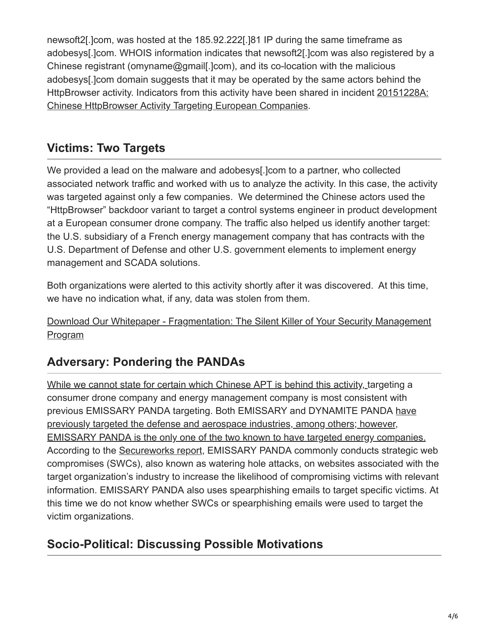newsoft2[.]com, was hosted at the 185.92.222[.]81 IP during the same timeframe as adobesys[.]com. WHOIS information indicates that newsoft2[.]com was also registered by a Chinese registrant (omyname@gmail[.]com), and its co-location with the malicious adobesys[.]com domain suggests that it may be operated by the same actors behind the [HttpBrowser activity. Indicators from this activity have been shared in incident 20151228A:](https://app.threatconnect.com/auth/incident/incident.xhtml?incident=1080388) Chinese HttpBrowser Activity Targeting European Companies.

# **Victims: Two Targets**

We provided a lead on the malware and adobesys[.]com to a partner, who collected associated network traffic and worked with us to analyze the activity. In this case, the activity was targeted against only a few companies. We determined the Chinese actors used the "HttpBrowser" backdoor variant to target a control systems engineer in product development at a European consumer drone company. The traffic also helped us identify another target: the U.S. subsidiary of a French energy management company that has contracts with the U.S. Department of Defense and other U.S. government elements to implement energy management and SCADA solutions.

Both organizations were alerted to this activity shortly after it was discovered. At this time, we have no indication what, if any, data was stolen from them.

[Download Our Whitepaper - Fragmentation: The Silent Killer of Your Security Management](https://threatconnect.com/wp-content/uploads/ThreatConnect-whitepaper-fragmentation.pdf?utm_campaign=DNC%20Guccifer%202.0%20Fancy%20Bears%20Research&utm_medium=tale%20blog&utm_source=chinese%20apt) Program

# **Adversary: Pondering the PANDAs**

[While we cannot state for certain which Chinese APT is behind this activity,](https://www.erai.com/CustomUploads/ca/wp/2015_12_wp_operation_iron_tiger.pdf) targeting a consumer drone company and energy management company is most consistent with previous EMISSARY PANDA targeting. Both EMISSARY and DYNAMITE PANDA have previously targeted the defense and aerospace industries, among others; however, [EMISSARY PANDA is the only one of the two known to have targeted energy companies.](https://www.erai.com/CustomUploads/ca/wp/2015_12_wp_operation_iron_tiger.pdf) According to the [Secureworks report](https://www.secureworks.com/research/threat-group-3390-targets-organizations-for-cyberespionage), EMISSARY PANDA commonly conducts strategic web compromises (SWCs), also known as watering hole attacks, on websites associated with the target organization's industry to increase the likelihood of compromising victims with relevant information. EMISSARY PANDA also uses spearphishing emails to target specific victims. At this time we do not know whether SWCs or spearphishing emails were used to target the victim organizations.

## **Socio-Political: Discussing Possible Motivations**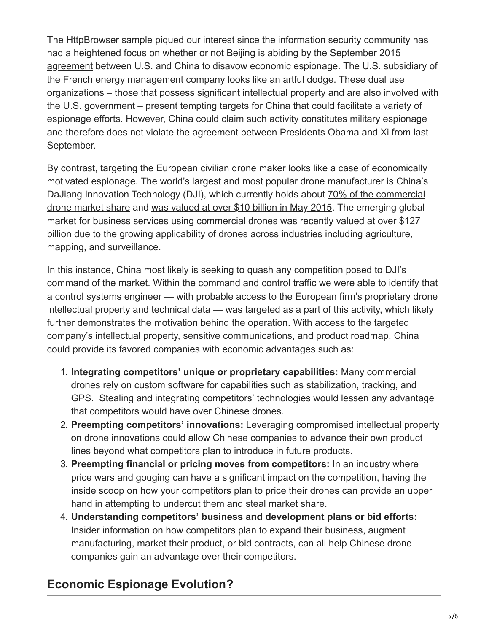The HttpBrowser sample piqued our interest since the information security community has [had a heightened focus on whether or not Beijing is abiding by the September 2015](https://www.washingtonpost.com/national/us-china-vow-not-to-engage-in-economic-cyberespionage/2015/09/25/90e74b6a-63b9-11e5-8e9e-dce8a2a2a679_story.html) agreement between U.S. and China to disavow economic espionage. The U.S. subsidiary of the French energy management company looks like an artful dodge. These dual use organizations – those that possess significant intellectual property and are also involved with the U.S. government – present tempting targets for China that could facilitate a variety of espionage efforts. However, China could claim such activity constitutes military espionage and therefore does not violate the agreement between Presidents Obama and Xi from last September.

By contrast, targeting the European civilian drone maker looks like a case of economically motivated espionage. The world's largest and most popular drone manufacturer is China's [DaJiang Innovation Technology \(DJI\), which currently holds about 70% of the commercial](http://www.popularmechanics.com/flight/drones/a18486/6-reasons-dji-is-winning-the-drone-wars/) drone market share and [was valued at over \\$10 billion in May 2015.](http://www.fool.com/investing/general/2016/02/29/drones-in-2016-4-numbers-everyone-should-know.aspx) The emerging global [market for business services using commercial drones was recently valued at over \\$127](http://press.pwc.com/News-releases/global-market-for-commercial-applications-of-drone-technology-valued-at-over--127-bn/s/AC04349E-C40D-4767-9F92-A4D219860CD2) billion due to the growing applicability of drones across industries including agriculture, mapping, and surveillance.

In this instance, China most likely is seeking to quash any competition posed to DJI's command of the market. Within the command and control traffic we were able to identify that a control systems engineer — with probable access to the European firm's proprietary drone intellectual property and technical data — was targeted as a part of this activity, which likely further demonstrates the motivation behind the operation. With access to the targeted company's intellectual property, sensitive communications, and product roadmap, China could provide its favored companies with economic advantages such as:

- 1. **Integrating competitors' unique or proprietary capabilities:** Many commercial drones rely on custom software for capabilities such as stabilization, tracking, and GPS. Stealing and integrating competitors' technologies would lessen any advantage that competitors would have over Chinese drones.
- 2. **Preempting competitors' innovations:** Leveraging compromised intellectual property on drone innovations could allow Chinese companies to advance their own product lines beyond what competitors plan to introduce in future products.
- 3. **Preempting financial or pricing moves from competitors:** In an industry where price wars and gouging can have a significant impact on the competition, having the inside scoop on how your competitors plan to price their drones can provide an upper hand in attempting to undercut them and steal market share.
- 4. **Understanding competitors' business and development plans or bid efforts:** Insider information on how competitors plan to expand their business, augment manufacturing, market their product, or bid contracts, can all help Chinese drone companies gain an advantage over their competitors.

## **Economic Espionage Evolution?**